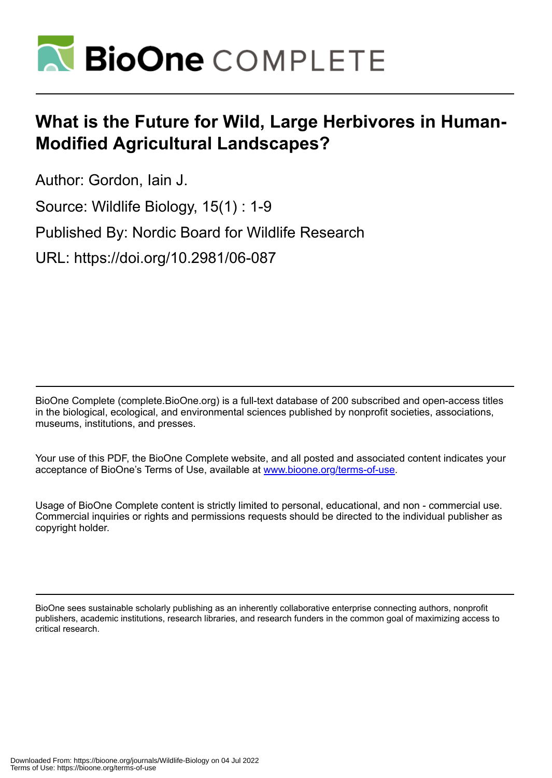

# **What is the Future for Wild, Large Herbivores in Human-Modified Agricultural Landscapes?**

Author: Gordon, Iain J.

Source: Wildlife Biology, 15(1) : 1-9

Published By: Nordic Board for Wildlife Research

URL: https://doi.org/10.2981/06-087

BioOne Complete (complete.BioOne.org) is a full-text database of 200 subscribed and open-access titles in the biological, ecological, and environmental sciences published by nonprofit societies, associations, museums, institutions, and presses.

Your use of this PDF, the BioOne Complete website, and all posted and associated content indicates your acceptance of BioOne's Terms of Use, available at www.bioone.org/terms-of-use.

Usage of BioOne Complete content is strictly limited to personal, educational, and non - commercial use. Commercial inquiries or rights and permissions requests should be directed to the individual publisher as copyright holder.

BioOne sees sustainable scholarly publishing as an inherently collaborative enterprise connecting authors, nonprofit publishers, academic institutions, research libraries, and research funders in the common goal of maximizing access to critical research.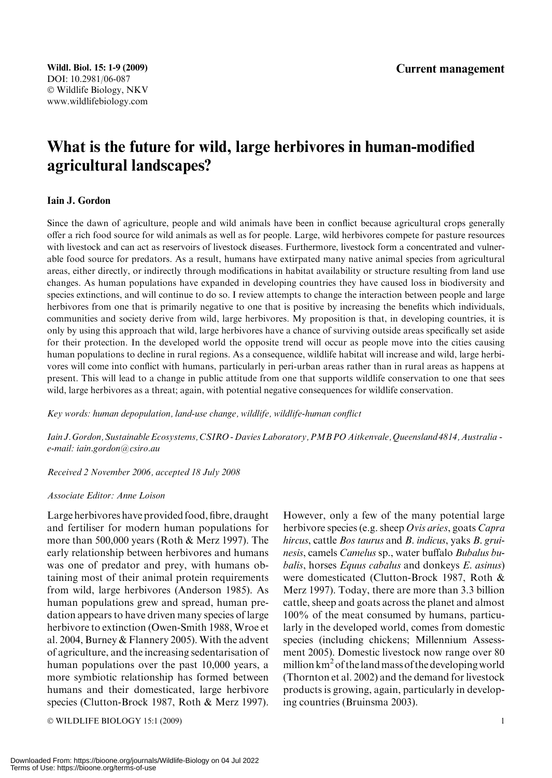## What is the future for wild, large herbivores in human-modified agricultural landscapes?

## Iain J. Gordon

Since the dawn of agriculture, people and wild animals have been in conflict because agricultural crops generally offer a rich food source for wild animals as well as for people. Large, wild herbivores compete for pasture resources with livestock and can act as reservoirs of livestock diseases. Furthermore, livestock form a concentrated and vulnerable food source for predators. As a result, humans have extirpated many native animal species from agricultural areas, either directly, or indirectly through modifications in habitat availability or structure resulting from land use changes. As human populations have expanded in developing countries they have caused loss in biodiversity and species extinctions, and will continue to do so. I review attempts to change the interaction between people and large herbivores from one that is primarily negative to one that is positive by increasing the benefits which individuals, communities and society derive from wild, large herbivores. My proposition is that, in developing countries, it is only by using this approach that wild, large herbivores have a chance of surviving outside areas specifically set aside for their protection. In the developed world the opposite trend will occur as people move into the cities causing human populations to decline in rural regions. As a consequence, wildlife habitat will increase and wild, large herbivores will come into conflict with humans, particularly in peri-urban areas rather than in rural areas as happens at present. This will lead to a change in public attitude from one that supports wildlife conservation to one that sees wild, large herbivores as a threat; again, with potential negative consequences for wildlife conservation.

Key words: human depopulation, land-use change, wildlife, wildlife-human conflict

Iain J. Gordon, Sustainable Ecosystems, CSIRO - Davies Laboratory, PMB PO Aitkenvale, Queensland 4814, Australia e-mail: iain.gordon@csiro.au

Received 2 November 2006, accepted 18 July 2008

#### Associate Editor: Anne Loison

Large herbivores have provided food, fibre, draught and fertiliser for modern human populations for more than 500,000 years (Roth & Merz 1997). The early relationship between herbivores and humans was one of predator and prey, with humans obtaining most of their animal protein requirements from wild, large herbivores (Anderson 1985). As human populations grew and spread, human predation appears to have driven many species of large herbivore to extinction (Owen-Smith 1988, Wroe et al. 2004, Burney & Flannery 2005). With the advent of agriculture, and the increasing sedentarisation of human populations over the past 10,000 years, a more symbiotic relationship has formed between humans and their domesticated, large herbivore species (Clutton-Brock 1987, Roth & Merz 1997).

 $\odot$  WILDLIFE BIOLOGY 15:1 (2009) 1

However, only a few of the many potential large herbivore species (e.g. sheep Ovis aries, goats Capra hircus, cattle Bos taurus and B. indicus, yaks B. gruinesis, camels Camelus sp., water buffalo Bubalus bubalis, horses Equus cabalus and donkeys E. asinus) were domesticated (Clutton-Brock 1987, Roth & Merz 1997). Today, there are more than 3.3 billion cattle, sheep and goats across the planet and almost 100% of the meat consumed by humans, particularly in the developed world, comes from domestic species (including chickens; Millennium Assessment 2005). Domestic livestock now range over 80 million  $km^2$  of the land mass of the developing world (Thornton et al. 2002) and the demand for livestock products is growing, again, particularly in developing countries (Bruinsma 2003).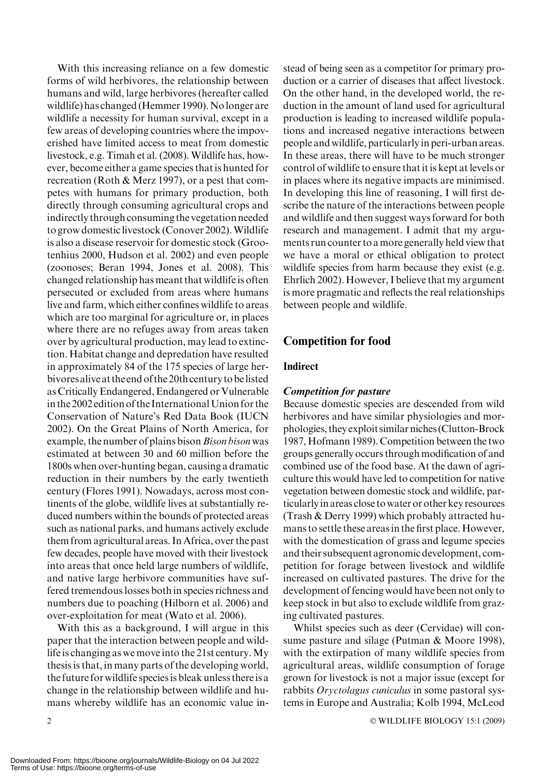With this increasing reliance on a few domestic forms of wild herbivores, the relationship between humans and wild, large herbivores (hereafter called wildlife) has changed (Hemmer 1990). No longer are wildlife a necessity for human survival, except in a few areas of developing countries where the impoverished have limited access to meat from domestic livestock, e.g. Timah et al. (2008). Wildlife has, however, become either a game species that is hunted for recreation (Roth & Merz 1997), or a pest that competes with humans for primary production, both directly through consuming agricultural crops and indirectly through consuming the vegetation needed to grow domesticlivestock (Conover 2002).Wildlife is also a disease reservoir for domestic stock (Grootenhius 2000, Hudson et al. 2002) and even people (zoonoses; Beran 1994, Jones et al. 2008). This changed relationship has meant that wildlife is often persecuted or excluded from areas where humans live and farm, which either confines wildlife to areas which are too marginal for agriculture or, in places where there are no refuges away from areas taken over by agricultural production, may lead to extinction. Habitat change and depredation have resulted in approximately 84 of the 175 species of large herbivores alive at the end of the 20th century to belisted as Critically Endangered, Endangered or Vulnerable in the 2002 edition of the International Union for the Conservation of Nature's Red Data Book (IUCN 2002). On the Great Plains of North America, for example, the number of plains bison Bison bison was estimated at between 30 and 60 million before the 1800s when over-hunting began, causing a dramatic reduction in their numbers by the early twentieth century (Flores 1991). Nowadays, across most continents of the globe, wildlife lives at substantially reduced numbers within the bounds of protected areas such as national parks, and humans actively exclude them from agricultural areas. In Africa, over the past few decades, people have moved with their livestock into areas that once held large numbers of wildlife, and native large herbivore communities have suffered tremendous losses both in species richness and numbers due to poaching (Hilborn et al. 2006) and over-exploitation for meat (Wato et al. 2006).

With this as a background, I will argue in this paper that the interaction between people and wildlife is changing as we move into the 21st century.My thesis is that, in many parts of the developing world, the future for wildlife species is bleak unless there is a change in the relationship between wildlife and humans whereby wildlife has an economic value instead of being seen as a competitor for primary production or a carrier of diseases that affect livestock. On the other hand, in the developed world, the reduction in the amount of land used for agricultural production is leading to increased wildlife populations and increased negative interactions between people and wildlife, particularly in peri-urban areas. In these areas, there will have to be much stronger control of wildlife to ensure that it is kept at levels or in places where its negative impacts are minimised. In developing this line of reasoning, I will first describe the nature of the interactions between people and wildlife and then suggest ways forward for both research and management. I admit that my arguments run counter to a more generally held view that we have a moral or ethical obligation to protect wildlife species from harm because they exist (e.g. Ehrlich 2002). However, I believe that my argument is more pragmatic and reflects the real relationships between people and wildlife.

## Competition for food

#### Indirect

#### Competition for pasture

Because domestic species are descended from wild herbivores and have similar physiologies and morphologies, they exploit similar niches (Clutton-Brock 1987, Hofmann 1989). Competition between the two groups generally occurs through modification of and combined use of the food base. At the dawn of agriculture this would have led to competition for native vegetation between domestic stock and wildlife, particularly in areas close to water or other key resources (Trash & Derry 1999) which probably attracted humans to settle these areas in the first place. However, with the domestication of grass and legume species and their subsequent agronomic development, competition for forage between livestock and wildlife increased on cultivated pastures. The drive for the development of fencing would have been not only to keep stock in but also to exclude wildlife from grazing cultivated pastures.

Whilst species such as deer (Cervidae) will consume pasture and silage (Putman & Moore 1998), with the extirpation of many wildlife species from agricultural areas, wildlife consumption of forage grown for livestock is not a major issue (except for rabbits Oryctolagus cuniculus in some pastoral systems in Europe and Australia; Kolb 1994, McLeod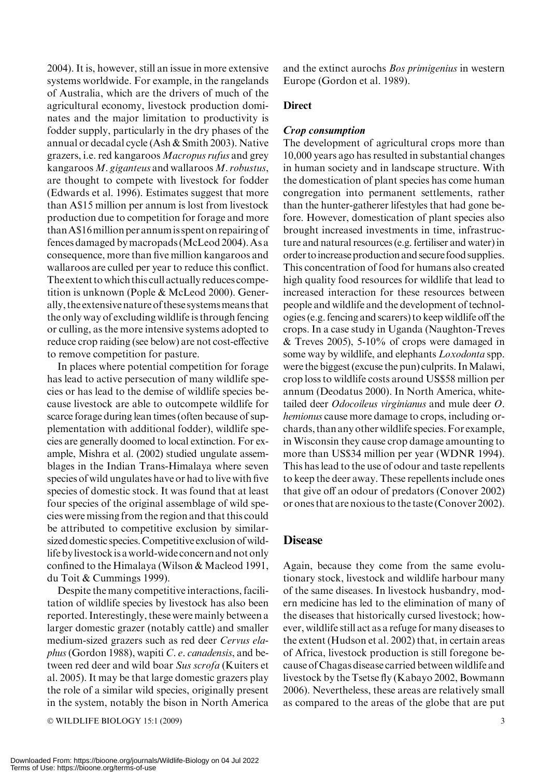2004). It is, however, still an issue in more extensive systems worldwide. For example, in the rangelands of Australia, which are the drivers of much of the agricultural economy, livestock production dominates and the major limitation to productivity is fodder supply, particularly in the dry phases of the annual or decadal cycle (Ash & Smith 2003). Native grazers, i.e. red kangaroos Macropus rufus and grey kangaroos  $M$ . giganteus and wallaroos  $M$ . robustus, are thought to compete with livestock for fodder (Edwards et al. 1996). Estimates suggest that more than A\$15 million per annum is lost from livestock production due to competition for forage and more thanA\$16million per annumis spent on repairing of fences damaged by macropads (McLeod 2004). As a consequence, more than five million kangaroos and wallaroos are culled per year to reduce this conflict. The extent to which this cull actually reduces competition is unknown (Pople & McLeod 2000). Generally, the extensive nature of these systemsmeans that the only way of excluding wildlife is through fencing or culling, as the more intensive systems adopted to reduce crop raiding (see below) are not cost-effective to remove competition for pasture.

In places where potential competition for forage has lead to active persecution of many wildlife species or has lead to the demise of wildlife species because livestock are able to outcompete wildlife for scarce forage during lean times (often because of supplementation with additional fodder), wildlife species are generally doomed to local extinction. For example, Mishra et al. (2002) studied ungulate assemblages in the Indian Trans-Himalaya where seven species of wild ungulates have or had to live with five species of domestic stock. It was found that at least four species of the original assemblage of wild species were missing from the region and that this could be attributed to competitive exclusion by similarsized domestic species. Competitive exclusion of wildlife by livestock is a world-wide concern and not only confined to the Himalaya (Wilson & Macleod 1991, du Toit & Cummings 1999).

Despite the many competitive interactions, facilitation of wildlife species by livestock has also been reported. Interestingly, these were mainly between a larger domestic grazer (notably cattle) and smaller medium-sized grazers such as red deer Cervus elaphus(Gordon 1988), wapiti C. e. canadensis, and between red deer and wild boar Sus scrofa (Kuiters et al. 2005). It may be that large domestic grazers play the role of a similar wild species, originally present in the system, notably the bison in North America

 $\odot$  WILDLIFE BIOLOGY 15:1 (2009)  $\qquad \qquad$  3

and the extinct aurochs Bos primigenius in western Europe (Gordon et al. 1989).

#### **Direct**

#### Crop consumption

The development of agricultural crops more than 10,000 years ago has resulted in substantial changes in human society and in landscape structure. With the domestication of plant species has come human congregation into permanent settlements, rather than the hunter-gatherer lifestyles that had gone before. However, domestication of plant species also brought increased investments in time, infrastructure and natural resources (e.g. fertiliser and water) in order toincrease production and secure food supplies. This concentration of food for humans also created high quality food resources for wildlife that lead to increased interaction for these resources between people and wildlife and the development of technologies (e.g. fencing and scarers) to keep wildlife off the crops. In a case study in Uganda (Naughton-Treves  $&$  Treves 2005), 5-10% of crops were damaged in some way by wildlife, and elephants *Loxodonta* spp. were the biggest (excuse the pun) culprits. In Malawi, crop loss to wildlife costs around US\$58 million per annum (Deodatus 2000). In North America, whitetailed deer Odocoileus virginianus and mule deer O. hemionus cause more damage to crops, including orchards, than any other wildlife species.For example, in Wisconsin they cause crop damage amounting to more than US\$34 million per year (WDNR 1994). This has lead to the use of odour and taste repellents to keep the deer away. These repellents include ones that give off an odour of predators (Conover 2002) or ones that are noxious to the taste (Conover 2002).

#### **Disease**

Again, because they come from the same evolutionary stock, livestock and wildlife harbour many of the same diseases. In livestock husbandry, modern medicine has led to the elimination of many of the diseases that historically cursed livestock; however, wildlife still act as a refuge for many diseases to the extent (Hudson et al. 2002) that, in certain areas of Africa, livestock production is still foregone because of Chagas disease carried between wildlife and livestock by the Tsetse fly (Kabayo 2002, Bowmann 2006). Nevertheless, these areas are relatively small as compared to the areas of the globe that are put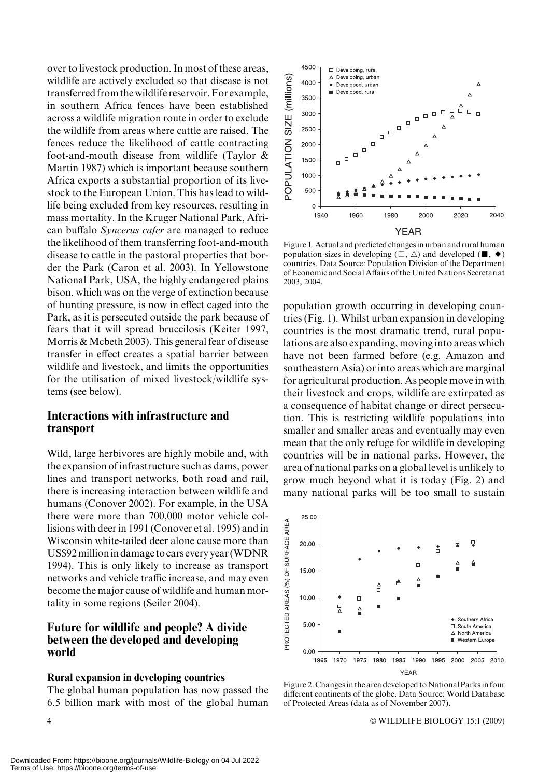over to livestock production. In most of these areas, wildlife are actively excluded so that disease is not transferred from the wildlife reservoir. For example, in southern Africa fences have been established across a wildlife migration route in order to exclude the wildlife from areas where cattle are raised. The fences reduce the likelihood of cattle contracting foot-and-mouth disease from wildlife (Taylor & Martin 1987) which is important because southern Africa exports a substantial proportion of its livestock to the European Union. This has lead to wildlife being excluded from key resources, resulting in mass mortality. In the Kruger National Park, African buffalo Syncerus cafer are managed to reduce the likelihood of them transferring foot-and-mouth disease to cattle in the pastoral properties that border the Park (Caron et al. 2003). In Yellowstone National Park, USA, the highly endangered plains bison, which was on the verge of extinction because of hunting pressure, is now in effect caged into the Park, as it is persecuted outside the park because of fears that it will spread bruccilosis (Keiter 1997, Morris  $&$  Mcbeth 2003). This general fear of disease transfer in effect creates a spatial barrier between wildlife and livestock, and limits the opportunities for the utilisation of mixed livestock/wildlife systems (see below).

## Interactions with infrastructure and transport

Wild, large herbivores are highly mobile and, with the expansion of infrastructure such as dams, power lines and transport networks, both road and rail, there is increasing interaction between wildlife and humans (Conover 2002). For example, in the USA there were more than 700,000 motor vehicle collisions with deer in 1991 (Conover et al. 1995) and in Wisconsin white-tailed deer alone cause more than US\$92millionin damage to cars every year (WDNR 1994). This is only likely to increase as transport networks and vehicle traffic increase, and may even become the major cause of wildlife and human mortality in some regions (Seiler 2004).

## Future for wildlife and people? A divide between the developed and developing world

#### Rural expansion in developing countries

The global human population has now passed the 6.5 billion mark with most of the global human



Figure 1. Actual and predicted changes in urban and rural human population sizes in developing  $(\square, \triangle)$  and developed ( $\blacksquare, \blacklozenge$ ) countries. Data Source: Population Division of the Department of Economic and Social Affairs of the United Nations Secretariat 2003, 2004.

population growth occurring in developing countries (Fig. 1). Whilst urban expansion in developing countries is the most dramatic trend, rural populations are also expanding, moving into areas which have not been farmed before (e.g. Amazon and southeastern Asia) or into areas which are marginal for agricultural production. As people move in with their livestock and crops, wildlife are extirpated as a consequence of habitat change or direct persecution. This is restricting wildlife populations into smaller and smaller areas and eventually may even mean that the only refuge for wildlife in developing countries will be in national parks. However, the area of national parks on a global level is unlikely to grow much beyond what it is today (Fig. 2) and many national parks will be too small to sustain



Figure 2. Changes in the area developed to National Parks in four different continents of the globe. Data Source: World Database of Protected Areas (data as of November 2007).

 $4 \bullet$ WILDLIFE BIOLOGY 15:1 (2009)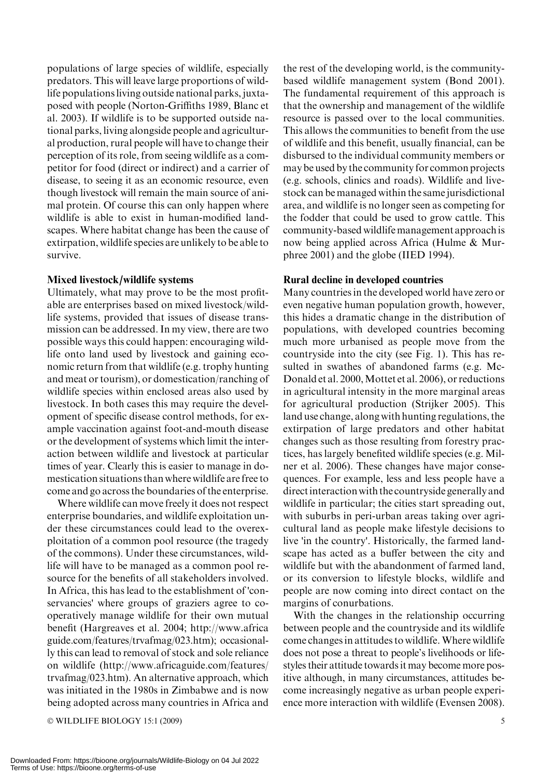populations of large species of wildlife, especially predators. This will leave large proportions of wildlife populations living outside national parks, juxtaposed with people (Norton-Griffiths 1989, Blanc et al. 2003). If wildlife is to be supported outside national parks, living alongside people and agricultural production, rural people will have to change their perception of its role, from seeing wildlife as a competitor for food (direct or indirect) and a carrier of disease, to seeing it as an economic resource, even though livestock will remain the main source of animal protein. Of course this can only happen where wildlife is able to exist in human-modified landscapes. Where habitat change has been the cause of extirpation, wildlife species are unlikely to be able to survive.

#### Mixed livestock/wildlife systems

Ultimately, what may prove to be the most profitable are enterprises based on mixed livestock/wildlife systems, provided that issues of disease transmission can be addressed. In my view, there are two possible ways this could happen: encouraging wildlife onto land used by livestock and gaining economic return from that wildlife (e.g. trophy hunting and meat or tourism), or domestication/ranching of wildlife species within enclosed areas also used by livestock. In both cases this may require the development of specific disease control methods, for example vaccination against foot-and-mouth disease or the development of systems which limit the interaction between wildlife and livestock at particular times of year. Clearly this is easier to manage in domestication situations than where wildlife are free to come and go across the boundaries of the enterprise.

Where wildlife can move freely it does not respect enterprise boundaries, and wildlife exploitation under these circumstances could lead to the overexploitation of a common pool resource (the tragedy of the commons). Under these circumstances, wildlife will have to be managed as a common pool resource for the benefits of all stakeholders involved. In Africa, this has lead to the establishment of 'conservancies' where groups of graziers agree to cooperatively manage wildlife for their own mutual benefit (Hargreaves et al. 2004; http://www.africa guide.com/features/trvafmag/023.htm); occasionally this can lead to removal of stock and sole reliance on wildlife (http://www.africaguide.com/features/ trvafmag/023.htm). An alternative approach, which was initiated in the 1980s in Zimbabwe and is now being adopted across many countries in Africa and

 $\odot$  WILDLIFE BIOLOGY 15:1 (2009)  $\qquad \qquad$  5

the rest of the developing world, is the communitybased wildlife management system (Bond 2001). The fundamental requirement of this approach is that the ownership and management of the wildlife resource is passed over to the local communities. This allows the communities to benefit from the use of wildlife and this benefit, usually financial, can be disbursed to the individual community members or may be used by the community for common projects (e.g. schools, clinics and roads). Wildlife and livestock can be managed within the same jurisdictional area, and wildlife is no longer seen as competing for the fodder that could be used to grow cattle. This community-based wildlifemanagement approach is now being applied across Africa (Hulme & Murphree 2001) and the globe (IIED 1994).

#### Rural decline in developed countries

Many countries in the developed world have zero or even negative human population growth, however, this hides a dramatic change in the distribution of populations, with developed countries becoming much more urbanised as people move from the countryside into the city (see Fig. 1). This has resulted in swathes of abandoned farms (e.g. Mc-Donald et al. 2000, Mottet et al. 2006), or reductions in agricultural intensity in the more marginal areas for agricultural production (Strijker 2005). This land use change, along with hunting regulations, the extirpation of large predators and other habitat changes such as those resulting from forestry practices, has largely benefited wildlife species (e.g. Milner et al. 2006). These changes have major consequences. For example, less and less people have a directinteraction with the countryside generally and wildlife in particular; the cities start spreading out, with suburbs in peri-urban areas taking over agricultural land as people make lifestyle decisions to live 'in the country'. Historically, the farmed landscape has acted as a buffer between the city and wildlife but with the abandonment of farmed land, or its conversion to lifestyle blocks, wildlife and people are now coming into direct contact on the margins of conurbations.

With the changes in the relationship occurring between people and the countryside and its wildlife come changes in attitudes to wildlife.Where wildlife does not pose a threat to people's livelihoods or lifestyles their attitude towards it may become more positive although, in many circumstances, attitudes become increasingly negative as urban people experience more interaction with wildlife (Evensen 2008).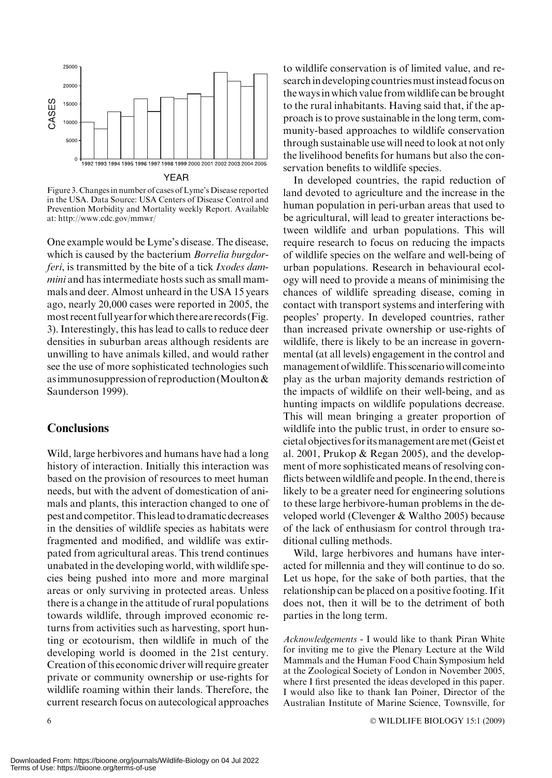

Figure 3. Changes in number of cases of Lyme's Disease reported in the USA. Data Source: USA Centers of Disease Control and Prevention Morbidity and Mortality weekly Report. Available at: http://www.cdc.gov/mmwr/

One example would be Lyme's disease. The disease, which is caused by the bacterium Borrelia burgdorferi, is transmitted by the bite of a tick Ixodes dammini and has intermediate hosts such as small mammals and deer. Almost unheard in the USA 15 years ago, nearly 20,000 cases were reported in 2005, the most recent full year forwhich there are records (Fig. 3). Interestingly, this has lead to calls to reduce deer densities in suburban areas although residents are unwilling to have animals killed, and would rather see the use of more sophisticated technologies such asimmunosuppression of reproduction (Moulton& Saunderson 1999).

## **Conclusions**

Wild, large herbivores and humans have had a long history of interaction. Initially this interaction was based on the provision of resources to meet human needs, but with the advent of domestication of animals and plants, this interaction changed to one of pest and competitor.Thislead to dramatic decreases in the densities of wildlife species as habitats were fragmented and modified, and wildlife was extirpated from agricultural areas. This trend continues unabated in the developing world, with wildlife species being pushed into more and more marginal areas or only surviving in protected areas. Unless there is a change in the attitude of rural populations towards wildlife, through improved economic returns from activities such as harvesting, sport hunting or ecotourism, then wildlife in much of the developing world is doomed in the 21st century. Creation of this economic driver will require greater private or community ownership or use-rights for wildlife roaming within their lands. Therefore, the current research focus on autecological approaches

to wildlife conservation is of limited value, and researchin developing countriesmustinstead focus on the ways in which value from wildlife can be brought to the rural inhabitants. Having said that, if the approach is to prove sustainable in the long term, community-based approaches to wildlife conservation through sustainable use will need to look at not only the livelihood benefits for humans but also the conservation benefits to wildlife species.

In developed countries, the rapid reduction of land devoted to agriculture and the increase in the human population in peri-urban areas that used to be agricultural, will lead to greater interactions between wildlife and urban populations. This will require research to focus on reducing the impacts of wildlife species on the welfare and well-being of urban populations. Research in behavioural ecology will need to provide a means of minimising the chances of wildlife spreading disease, coming in contact with transport systems and interfering with peoples' property. In developed countries, rather than increased private ownership or use-rights of wildlife, there is likely to be an increase in governmental (at all levels) engagement in the control and management ofwildlife.This scenariowill comeinto play as the urban majority demands restriction of the impacts of wildlife on their well-being, and as hunting impacts on wildlife populations decrease. This will mean bringing a greater proportion of wildlife into the public trust, in order to ensure societal objectives foritsmanagement aremet (Geist et al. 2001, Prukop & Regan 2005), and the development of more sophisticated means of resolving conflicts between wildlife and people. In the end, there is likely to be a greater need for engineering solutions to these large herbivore-human problems in the developed world (Clevenger & Waltho 2005) because of the lack of enthusiasm for control through traditional culling methods.

Wild, large herbivores and humans have interacted for millennia and they will continue to do so. Let us hope, for the sake of both parties, that the relationship can be placed on a positive footing. If it does not, then it will be to the detriment of both parties in the long term.

Acknowledgements - I would like to thank Piran White for inviting me to give the Plenary Lecture at the Wild Mammals and the Human Food Chain Symposium held at the Zoological Society of London in November 2005, where I first presented the ideas developed in this paper. I would also like to thank Ian Poiner, Director of the Australian Institute of Marine Science, Townsville, for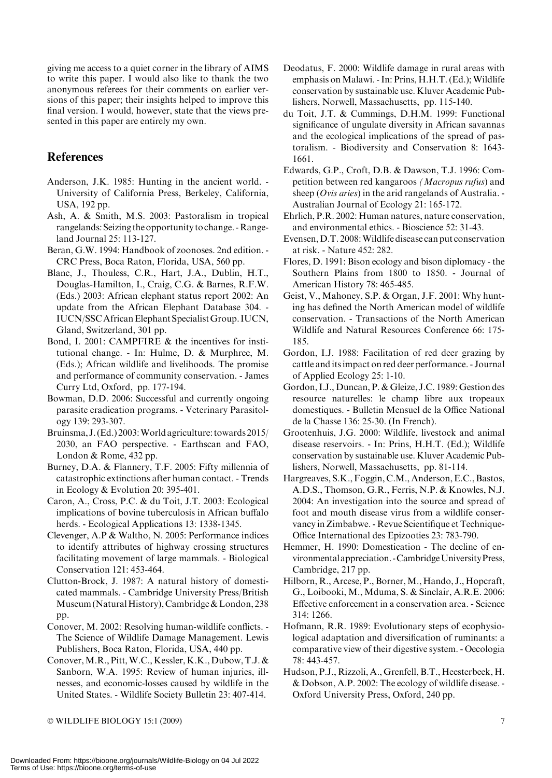giving me access to a quiet corner in the library of AIMS to write this paper. I would also like to thank the two anonymous referees for their comments on earlier versions of this paper; their insights helped to improve this final version. I would, however, state that the views presented in this paper are entirely my own.

## **References**

- Anderson, J.K. 1985: Hunting in the ancient world. University of California Press, Berkeley, California, USA, 192 pp.
- Ash, A. & Smith, M.S. 2003: Pastoralism in tropical rangelands: Seizing the opportunity to change. - Rangeland Journal 25: 113-127.
- Beran, G.W. 1994: Handbook of zoonoses. 2nd edition. CRC Press, Boca Raton, Florida, USA, 560 pp.
- Blanc, J., Thouless, C.R., Hart, J.A., Dublin, H.T., Douglas-Hamilton, I., Craig, C.G. & Barnes, R.F.W. (Eds.) 2003: African elephant status report 2002: An update from the African Elephant Database 304. - IUCN/SSCAfricanElephant SpecialistGroup. IUCN, Gland, Switzerland, 301 pp.
- Bond, I. 2001: CAMPFIRE & the incentives for institutional change. - In: Hulme, D. & Murphree, M. (Eds.); African wildlife and livelihoods. The promise and performance of community conservation. - James Curry Ltd, Oxford, pp. 177-194.
- Bowman, D.D. 2006: Successful and currently ongoing parasite eradication programs. - Veterinary Parasitology 139: 293-307.
- Bruinsma, J. (Ed.) 2003:World agriculture: towards 2015/ 2030, an FAO perspective. - Earthscan and FAO, London & Rome, 432 pp.
- Burney, D.A. & Flannery, T.F. 2005: Fifty millennia of catastrophic extinctions after human contact. - Trends in Ecology & Evolution 20: 395-401.
- Caron, A., Cross, P.C. & du Toit, J.T. 2003: Ecological implications of bovine tuberculosis in African buffalo herds. - Ecological Applications 13: 1338-1345.
- Clevenger, A.P & Waltho, N. 2005: Performance indices to identify attributes of highway crossing structures facilitating movement of large mammals. - Biological Conservation 121: 453-464.
- Clutton-Brock, J. 1987: A natural history of domesticated mammals. - Cambridge University Press/British Museum (Natural History), Cambridge & London, 238 pp.
- Conover, M. 2002: Resolving human-wildlife conflicts. The Science of Wildlife Damage Management. Lewis Publishers, Boca Raton, Florida, USA, 440 pp.
- Conover,M.R., Pitt,W.C., Kessler, K.K., Dubow, T.J. & Sanborn, W.A. 1995: Review of human injuries, illnesses, and economic-losses caused by wildlife in the United States. - Wildlife Society Bulletin 23: 407-414.
- $\odot$  WILDLIFE BIOLOGY 15:1 (2009)  $\qquad \qquad$  7
- Deodatus, F. 2000: Wildlife damage in rural areas with emphasis on Malawi. - In: Prins, H.H.T. (Ed.); Wildlife conservation by sustainable use. Kluver Academic Publishers, Norwell, Massachusetts, pp. 115-140.
- du Toit, J.T. & Cummings, D.H.M. 1999: Functional significance of ungulate diversity in African savannas and the ecological implications of the spread of pastoralism. - Biodiversity and Conservation 8: 1643- 1661.
- Edwards, G.P., Croft, D.B. & Dawson, T.J. 1996: Competition between red kangaroos (Macropus rufus) and sheep (*Ovis aries*) in the arid rangelands of Australia. -Australian Journal of Ecology 21: 165-172.
- Ehrlich, P.R. 2002: Human natures, nature conservation, and environmental ethics. - Bioscience 52: 31-43.
- Evensen,D.T. 2008:Wildlife disease can put conservation at risk. - Nature 452: 282.
- Flores, D. 1991: Bison ecology and bison diplomacy the Southern Plains from 1800 to 1850. - Journal of American History 78: 465-485.
- Geist, V., Mahoney, S.P. & Organ, J.F. 2001: Why hunting has defined the North American model of wildlife conservation. - Transactions of the North American Wildlife and Natural Resources Conference 66: 175- 185.
- Gordon, I.J. 1988: Facilitation of red deer grazing by cattle and its impact on red deer performance. - Journal of Applied Ecology 25: 1-10.
- Gordon, I.J., Duncan, P. & Gleize, J.C. 1989: Gestion des resource naturelles: le champ libre aux tropeaux domestiques. - Bulletin Mensuel de la Office National de la Chasse 136: 25-30. (In French).
- Grootenhuis, J.G. 2000: Wildlife, livestock and animal disease reservoirs. - In: Prins, H.H.T. (Ed.); Wildlife conservation by sustainable use. Kluver Academic Publishers, Norwell, Massachusetts, pp. 81-114.
- Hargreaves, S.K., Foggin, C.M., Anderson, E.C., Bastos, A.D.S., Thomson, G.R., Ferris, N.P. & Knowles, N.J. 2004: An investigation into the source and spread of foot and mouth disease virus from a wildlife conservancy in Zimbabwe. - Revue Scientifique et Technique-Office International des Epizooties 23: 783-790.
- Hemmer, H. 1990: Domestication The decline of environmental appreciation. - Cambridge University Press, Cambridge, 217 pp.
- Hilborn, R., Arcese, P., Borner, M., Hando, J., Hopcraft, G., Loibooki, M., Mduma, S. & Sinclair, A.R.E. 2006: Effective enforcement in a conservation area. - Science  $314.1266$
- Hofmann, R.R. 1989: Evolutionary steps of ecophysiological adaptation and diversification of ruminants: a comparative view of their digestive system. - Oecologia 78: 443-457.
- Hudson, P.J., Rizzoli, A., Grenfell, B.T., Heesterbeek, H. & Dobson, A.P. 2002: The ecology of wildlife disease. - Oxford University Press, Oxford, 240 pp.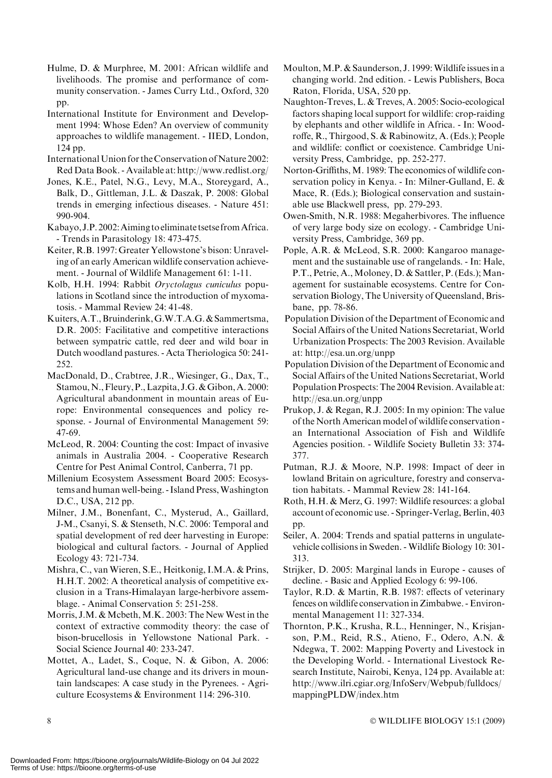- Hulme, D. & Murphree, M. 2001: African wildlife and livelihoods. The promise and performance of community conservation. - James Curry Ltd., Oxford, 320 pp.
- International Institute for Environment and Development 1994: Whose Eden? An overview of community approaches to wildlife management. - IIED, London, 124 pp.
- International Union for the Conservation of Nature 2002: Red Data Book. - Available at: http://www.redlist.org/
- Jones, K.E., Patel, N.G., Levy, M.A., Storeygard, A., Balk, D., Gittleman, J.L. & Daszak, P. 2008: Global trends in emerging infectious diseases. - Nature 451: 990-904.
- Kabayo, J.P. 2002:Aiming toeliminate tsetse fromAfrica. - Trends in Parasitology 18: 473-475.
- Keiter, R.B. 1997: Greater Yellowstone's bison: Unraveling of an early American wildlife conservation achievement. - Journal of Wildlife Management 61: 1-11.
- Kolb, H.H. 1994: Rabbit Oryctolagus cuniculus populations in Scotland since the introduction of myxomatosis. - Mammal Review 24: 41-48.
- Kuiters,A.T.,Bruinderink,G.W.T.A.G.& Sammertsma, D.R. 2005: Facilitative and competitive interactions between sympatric cattle, red deer and wild boar in Dutch woodland pastures. - Acta Theriologica 50: 241- 252.
- MacDonald, D., Crabtree, J.R., Wiesinger, G., Dax, T., Stamou, N., Fleury, P., Lazpita, J.G. & Gibon, A. 2000: Agricultural abandonment in mountain areas of Europe: Environmental consequences and policy response. - Journal of Environmental Management 59: 47-69.
- McLeod, R. 2004: Counting the cost: Impact of invasive animals in Australia 2004. - Cooperative Research Centre for Pest Animal Control, Canberra, 71 pp.
- Millenium Ecosystem Assessment Board 2005: Ecosystems and human well-being. - Island Press, Washington D.C., USA, 212 pp.
- Milner, J.M., Bonenfant, C., Mysterud, A., Gaillard, J-M., Csanyi, S. & Stenseth, N.C. 2006: Temporal and spatial development of red deer harvesting in Europe: biological and cultural factors. - Journal of Applied Ecology 43: 721-734.
- Mishra, C., van Wieren, S.E., Heitkonig, I.M.A. & Prins, H.H.T. 2002: A theoretical analysis of competitive exclusion in a Trans-Himalayan large-herbivore assemblage. - Animal Conservation 5: 251-258.
- Morris, J.M. & Mcbeth, M.K. 2003: The New West in the context of extractive commodity theory: the case of bison-brucellosis in Yellowstone National Park. - Social Science Journal 40: 233-247.
- Mottet, A., Ladet, S., Coque, N. & Gibon, A. 2006: Agricultural land-use change and its drivers in mountain landscapes: A case study in the Pyrenees. - Agriculture Ecosystems & Environment 114: 296-310.
- Moulton, M.P. & Saunderson, J. 1999: Wildlife issues in a changing world. 2nd edition. - Lewis Publishers, Boca Raton, Florida, USA, 520 pp.
- Naughton-Treves, L. & Treves, A. 2005: Socio-ecological factors shaping local support for wildlife: crop-raiding by elephants and other wildlife in Africa. - In: Woodroffe, R., Thirgood, S. & Rabinowitz, A. (Eds.); People and wildlife: conflict or coexistence. Cambridge University Press, Cambridge, pp. 252-277.
- Norton-Griffiths, M. 1989: The economics of wildlife conservation policy in Kenya. - In: Milner-Gulland, E. & Mace, R. (Eds.); Biological conservation and sustainable use Blackwell press, pp. 279-293.
- Owen-Smith, N.R. 1988: Megaherbivores. The influence of very large body size on ecology. - Cambridge University Press, Cambridge, 369 pp.
- Pople, A.R. & McLeod, S.R. 2000: Kangaroo management and the sustainable use of rangelands. - In: Hale, P.T., Petrie, A., Moloney, D. & Sattler, P. (Eds.); Management for sustainable ecosystems. Centre for Conservation Biology, The University of Queensland, Brisbane, pp. 78-86.
- Population Division of the Department of Economic and Social Affairs of the United Nations Secretariat,World Urbanization Prospects: The 2003 Revision. Available at: http://esa.un.org/unpp
- Population Division of the Department of Economic and Social Affairs of the United Nations Secretariat,World Population Prospects: The 2004 Revision. Available at: http://esa.un.org/unpp
- Prukop, J. & Regan, R.J. 2005: In my opinion: The value of the North American model of wildlife conservation an International Association of Fish and Wildlife Agencies position. - Wildlife Society Bulletin 33: 374- 377.
- Putman, R.J. & Moore, N.P. 1998: Impact of deer in lowland Britain on agriculture, forestry and conservation habitats. - Mammal Review 28: 141-164.
- Roth, H.H. & Merz, G. 1997: Wildlife resources: a global account of economic use. - Springer-Verlag, Berlin, 403 pp.
- Seiler, A. 2004: Trends and spatial patterns in ungulatevehicle collisions in Sweden. - Wildlife Biology 10: 301- 313.
- Strijker, D. 2005: Marginal lands in Europe causes of decline. - Basic and Applied Ecology 6: 99-106.
- Taylor, R.D. & Martin, R.B. 1987: effects of veterinary fences on wildlife conservation in Zimbabwe. - Environmental Management 11: 327-334.
- Thornton, P.K., Krusha, R.L., Henninger, N., Krisjanson, P.M., Reid, R.S., Atieno, F., Odero, A.N. & Ndegwa, T. 2002: Mapping Poverty and Livestock in the Developing World. - International Livestock Research Institute, Nairobi, Kenya, 124 pp. Available at: http://www.ilri.cgiar.org/InfoServ/Webpub/fulldocs/ mappingPLDW/index.htm